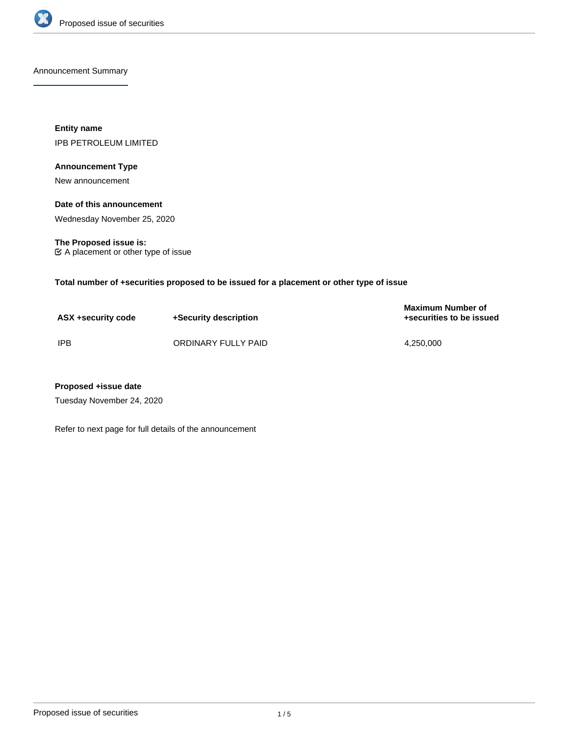

Announcement Summary

**Entity name** IPB PETROLEUM LIMITED

# **Announcement Type**

New announcement

## **Date of this announcement**

Wednesday November 25, 2020

**The Proposed issue is:** A placement or other type of issue

**Total number of +securities proposed to be issued for a placement or other type of issue**

| ASX +security code | +Security description | <b>Maximum Number of</b><br>+securities to be issued |
|--------------------|-----------------------|------------------------------------------------------|
| <b>IPB</b>         | ORDINARY FULLY PAID   | 4.250.000                                            |

## **Proposed +issue date**

Tuesday November 24, 2020

Refer to next page for full details of the announcement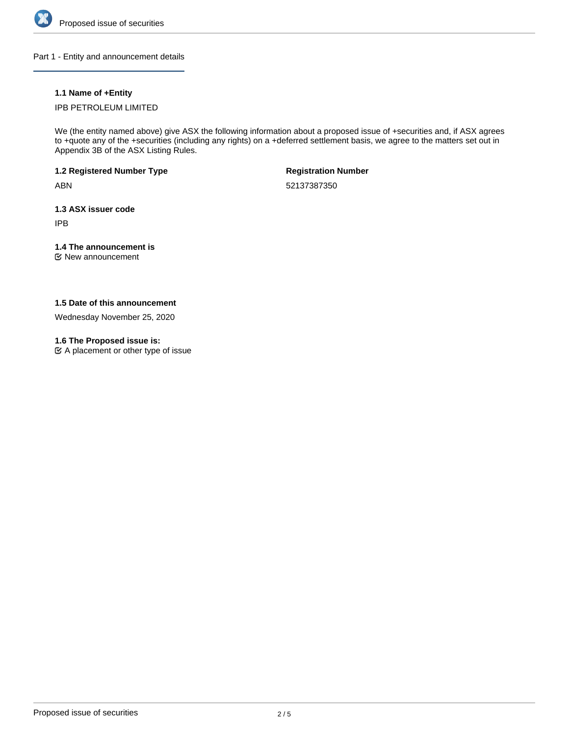

Part 1 - Entity and announcement details

# **1.1 Name of +Entity**

## IPB PETROLEUM LIMITED

We (the entity named above) give ASX the following information about a proposed issue of +securities and, if ASX agrees to +quote any of the +securities (including any rights) on a +deferred settlement basis, we agree to the matters set out in Appendix 3B of the ASX Listing Rules.

# **1.2 Registered Number Type**

ABN

**Registration Number**

52137387350

# **1.3 ASX issuer code**

IPB

# **1.4 The announcement is**

New announcement

## **1.5 Date of this announcement**

Wednesday November 25, 2020

### **1.6 The Proposed issue is:**

 $\mathfrak{C}$  A placement or other type of issue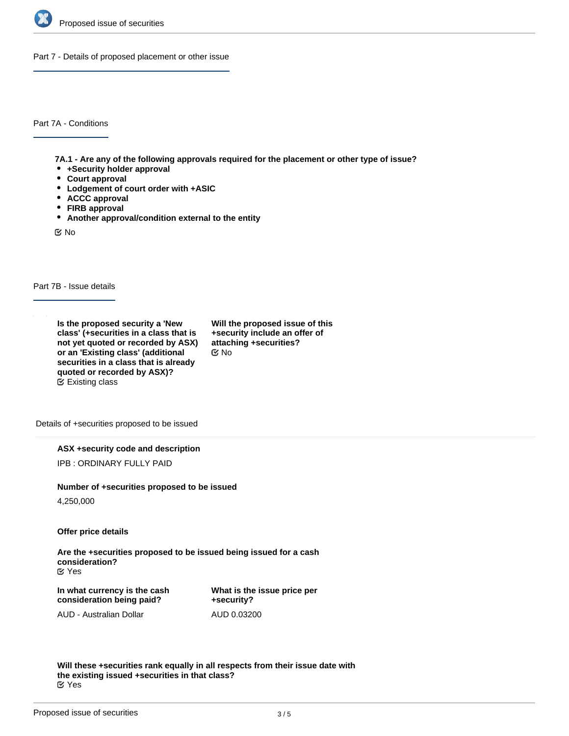

Part 7 - Details of proposed placement or other issue

Part 7A - Conditions

**7A.1 - Are any of the following approvals required for the placement or other type of issue?**

- **+Security holder approval**
- **Court approval**
- **Lodgement of court order with +ASIC**
- **ACCC approval**
- **FIRB approval**
- **Another approval/condition external to the entity**

No

Part 7B - Issue details

**Is the proposed security a 'New class' (+securities in a class that is not yet quoted or recorded by ASX) or an 'Existing class' (additional securities in a class that is already quoted or recorded by ASX)?** Existing class

**Will the proposed issue of this +security include an offer of attaching +securities?** No

Details of +securities proposed to be issued

**ASX +security code and description**

IPB : ORDINARY FULLY PAID

#### **Number of +securities proposed to be issued**

4,250,000

**Offer price details**

**Are the +securities proposed to be issued being issued for a cash consideration?** Yes

**In what currency is the cash consideration being paid?**

**What is the issue price per +security?** AUD 0.03200

AUD - Australian Dollar

**Will these +securities rank equally in all respects from their issue date with the existing issued +securities in that class?** Yes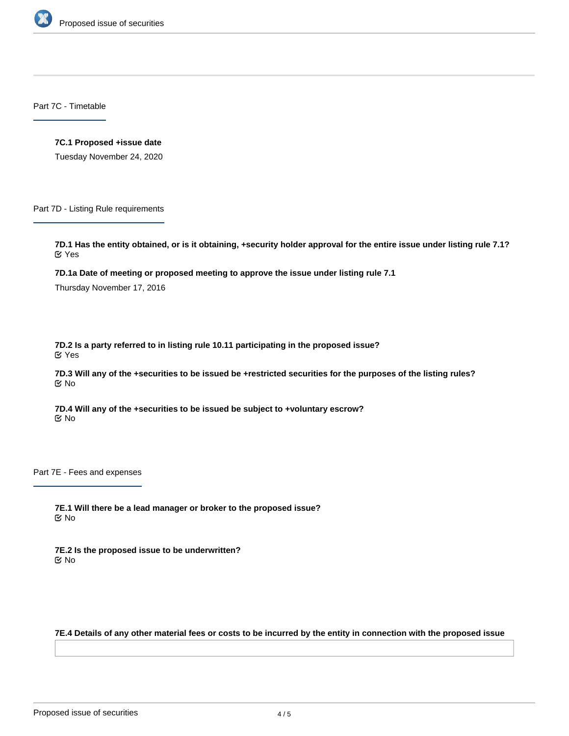

Part 7C - Timetable

### **7C.1 Proposed +issue date**

Tuesday November 24, 2020

Part 7D - Listing Rule requirements

**7D.1 Has the entity obtained, or is it obtaining, +security holder approval for the entire issue under listing rule 7.1?** Yes

**7D.1a Date of meeting or proposed meeting to approve the issue under listing rule 7.1**

Thursday November 17, 2016

**7D.2 Is a party referred to in listing rule 10.11 participating in the proposed issue?** Yes

**7D.3 Will any of the +securities to be issued be +restricted securities for the purposes of the listing rules?** No

**7D.4 Will any of the +securities to be issued be subject to +voluntary escrow?** No

Part 7E - Fees and expenses

**7E.1 Will there be a lead manager or broker to the proposed issue?** No

**7E.2 Is the proposed issue to be underwritten?** No

**7E.4 Details of any other material fees or costs to be incurred by the entity in connection with the proposed issue**